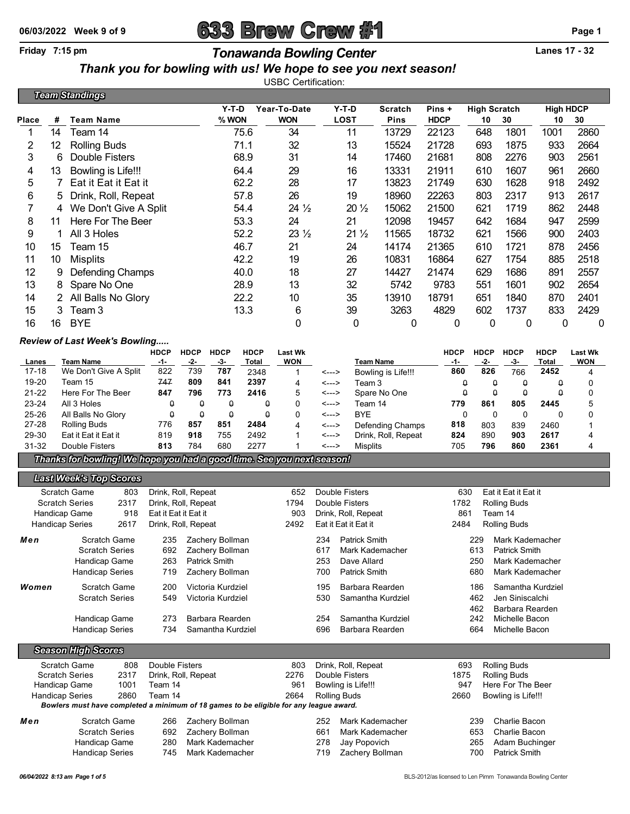# **06/03/2022 Week 9 of 9 633 Brew Crew #1 Page 1**

## **Friday 7:15 pm** *Tonawanda Bowling Center* **Lanes 17 - 32**

#### *Thank you for bowling with us! We hope to see you next season!*

USBC Certification:

|       | <b>Team Standings</b> |                         |       |                 |                 |                |             |                     |      |                  |      |  |  |  |
|-------|-----------------------|-------------------------|-------|-----------------|-----------------|----------------|-------------|---------------------|------|------------------|------|--|--|--|
|       |                       |                         | Y-T-D | Year-To-Date    | Y-T-D           | <b>Scratch</b> | Pins +      | <b>High Scratch</b> |      | <b>High HDCP</b> |      |  |  |  |
| Place | #                     | <b>Team Name</b>        | % WON | <b>WON</b>      | <b>LOST</b>     | <b>Pins</b>    | <b>HDCP</b> | 10                  | 30   | 10               | 30   |  |  |  |
|       | 14                    | Team 14                 | 75.6  | 34              | 11              | 13729          | 22123       | 648                 | 1801 | 1001             | 2860 |  |  |  |
| 2     | 12                    | <b>Rolling Buds</b>     | 71.1  | 32              | 13              | 15524          | 21728       | 693                 | 1875 | 933              | 2664 |  |  |  |
| 3     | 6                     | Double Fisters          | 68.9  | 31              | 14              | 17460          | 21681       | 808                 | 2276 | 903              | 2561 |  |  |  |
| 4     | 13                    | Bowling is Life!!!      | 64.4  | 29              | 16              | 13331          | 21911       | 610                 | 1607 | 961              | 2660 |  |  |  |
| 5     |                       | Eat it Eat it Eat it    | 62.2  | 28              | 17              | 13823          | 21749       | 630                 | 1628 | 918              | 2492 |  |  |  |
| 6     | 5                     | Drink, Roll, Repeat     | 57.8  | 26              | 19              | 18960          | 22263       | 803                 | 2317 | 913              | 2617 |  |  |  |
|       | 4                     | We Don't Give A Split   | 54.4  | $24\frac{1}{2}$ | $20\frac{1}{2}$ | 15062          | 21500       | 621                 | 1719 | 862              | 2448 |  |  |  |
| 8     | 11                    | Here For The Beer       | 53.3  | 24              | 21              | 12098          | 19457       | 642                 | 1684 | 947              | 2599 |  |  |  |
| 9     |                       | All 3 Holes             | 52.2  | $23\frac{1}{2}$ | $21\frac{1}{2}$ | 11565          | 18732       | 621                 | 1566 | 900              | 2403 |  |  |  |
| 10    | 15                    | Team 15                 | 46.7  | 21              | 24              | 14174          | 21365       | 610                 | 1721 | 878              | 2456 |  |  |  |
| 11    | 10                    | <b>Misplits</b>         | 42.2  | 19              | 26              | 10831          | 16864       | 627                 | 1754 | 885              | 2518 |  |  |  |
| 12    | 9                     | <b>Defending Champs</b> | 40.0  | 18              | 27              | 14427          | 21474       | 629                 | 1686 | 891              | 2557 |  |  |  |
| 13    | 8                     | Spare No One            | 28.9  | 13              | 32              | 5742           | 9783        | 551                 | 1601 | 902              | 2654 |  |  |  |
| 14    |                       | All Balls No Glory      | 22.2  | 10              | 35              | 13910          | 18791       | 651                 | 1840 | 870              | 2401 |  |  |  |
| 15    | 3.                    | Team 3                  | 13.3  | 6               | 39              | 3263           | 4829        | 602                 | 1737 | 833              | 2429 |  |  |  |
| 16    | 16                    | <b>BYE</b>              |       | 0               | 0               | 0              | 0           | 0                   | 0    | 0                | 0    |  |  |  |

#### *Review of Last Week's Bowling.....*

|           |                       | <b>HDCP</b> | <b>HDCP</b> | <b>HDCP</b> | <b>HDCP</b> | <b>Last Wk</b> |       |                     | <b>HDCP</b> | <b>HDCP</b> | <b>HDCP</b> | <b>HDCP</b> | Last Wk    |
|-----------|-----------------------|-------------|-------------|-------------|-------------|----------------|-------|---------------------|-------------|-------------|-------------|-------------|------------|
| Lanes     | Team Name             | -1-         | -2-         | -3-         | Total       | <b>WON</b>     |       | Team Name           | -1-         | -2-         | -3-         | Total       | <b>WON</b> |
| $17 - 18$ | We Don't Give A Split | 822         | 739         | 787         | 2348        |                | <---> | Bowling is Life!!!  | 860         | 826         | 766         | 2452        |            |
| 19-20     | Team 15               | 747         | 809         | 841         | 2397        |                | <---> | Team 3              |             |             | Ω           |             |            |
| $21 - 22$ | Here For The Beer     | 847         | 796         | 773         | 2416        |                | <---> | Spare No One        |             |             |             |             |            |
| $23 - 24$ | All 3 Holes           |             |             |             |             |                | <---> | Team 14             | 779         | 861         | 805         | 2445        |            |
| $25 - 26$ | All Balls No Glory    |             |             |             |             |                | <---> | BYE                 |             |             |             |             |            |
| $27 - 28$ | <b>Rolling Buds</b>   | 776         | 857         | 851         | 2484        |                | <---> | Defending Champs    | 818         | 803         | 839         | 2460        |            |
| 29-30     | Eat it Eat it Eat it  | 819         | 918         | 755         | 2492        |                | <---> | Drink, Roll, Repeat | 824         | 890         | 903         | 2617        |            |
| $31 - 32$ | Double Fisters        | 813         | 784         | 680         | 2277        |                | <---> | <b>Misplits</b>     | 705         | 796         | 860         | 2361        |            |

*Thanks for bowling! We hope you had a good time. See you next season!*

|                        | <b>Last Week's Top Scores</b> |              |                      |                                                                                        |      |     |                      |      |                      |
|------------------------|-------------------------------|--------------|----------------------|----------------------------------------------------------------------------------------|------|-----|----------------------|------|----------------------|
|                        | Scratch Game                  | 803          |                      | Drink, Roll, Repeat                                                                    | 652  |     | Double Fisters       | 630  | Eat it Eat it Eat it |
|                        | <b>Scratch Series</b>         | 2317         |                      | Drink, Roll, Repeat                                                                    | 1794 |     | Double Fisters       | 1782 | <b>Rolling Buds</b>  |
| Handicap Game          |                               | 918          | Eat it Eat it Eat it |                                                                                        | 903  |     | Drink, Roll, Repeat  | 861  | Team 14              |
| <b>Handicap Series</b> |                               | 2617         |                      | Drink, Roll, Repeat                                                                    | 2492 |     | Eat it Eat it Eat it | 2484 | <b>Rolling Buds</b>  |
| Men                    |                               | Scratch Game | 235                  | Zachery Bollman                                                                        |      | 234 | Patrick Smith        | 229  | Mark Kademacher      |
|                        | <b>Scratch Series</b>         |              | 692                  | Zachery Bollman                                                                        |      | 617 | Mark Kademacher      | 613  | <b>Patrick Smith</b> |
|                        | Handicap Game                 |              | 263                  | Patrick Smith                                                                          |      | 253 | Dave Allard          | 250  | Mark Kademacher      |
|                        | <b>Handicap Series</b>        |              | 719                  | Zachery Bollman                                                                        |      | 700 | Patrick Smith        | 680  | Mark Kademacher      |
| Women                  |                               | Scratch Game | 200                  | Victoria Kurdziel                                                                      |      | 195 | Barbara Rearden      | 186  | Samantha Kurdziel    |
|                        | <b>Scratch Series</b>         |              | 549                  | Victoria Kurdziel                                                                      |      | 530 | Samantha Kurdziel    | 462  | Jen Siniscalchi      |
|                        |                               |              |                      |                                                                                        |      |     |                      | 462  | Barbara Rearden      |
|                        | Handicap Game                 |              | 273                  | Barbara Rearden                                                                        |      | 254 | Samantha Kurdziel    | 242  | Michelle Bacon       |
|                        | <b>Handicap Series</b>        |              | 734                  | Samantha Kurdziel                                                                      |      | 696 | Barbara Rearden      | 664  | Michelle Bacon       |
|                        | <b>Season High Scores</b>     |              |                      |                                                                                        |      |     |                      |      |                      |
|                        | Scratch Game                  | 808          | Double Fisters       |                                                                                        | 803  |     | Drink, Roll, Repeat  | 693  | <b>Rolling Buds</b>  |
|                        | <b>Scratch Series</b>         | 2317         |                      | Drink, Roll, Repeat                                                                    | 2276 |     | Double Fisters       | 1875 | <b>Rolling Buds</b>  |
| Handicap Game          |                               | 1001         | Team 14              |                                                                                        | 961  |     | Bowling is Life!!!   | 947  | Here For The Beer    |
| <b>Handicap Series</b> |                               | 2860         | Team 14              |                                                                                        | 2664 |     | <b>Rolling Buds</b>  | 2660 | Bowling is Life!!!   |
|                        |                               |              |                      | Bowlers must have completed a minimum of 18 games to be eligible for any league award. |      |     |                      |      |                      |
| Men                    |                               | Scratch Game | 266                  | Zachery Bollman                                                                        |      | 252 | Mark Kademacher      | 239  | Charlie Bacon        |
|                        | <b>Scratch Series</b>         |              | 692                  | Zachery Bollman                                                                        |      | 661 | Mark Kademacher      | 653  | Charlie Bacon        |
| Handicap Game          |                               |              | 280                  | Mark Kademacher                                                                        |      | 278 | Jay Popovich         | 265  | Adam Buchinger       |

Handicap Series 745 Mark Kademacher 719 Zachery Bollman 700 Patrick Smith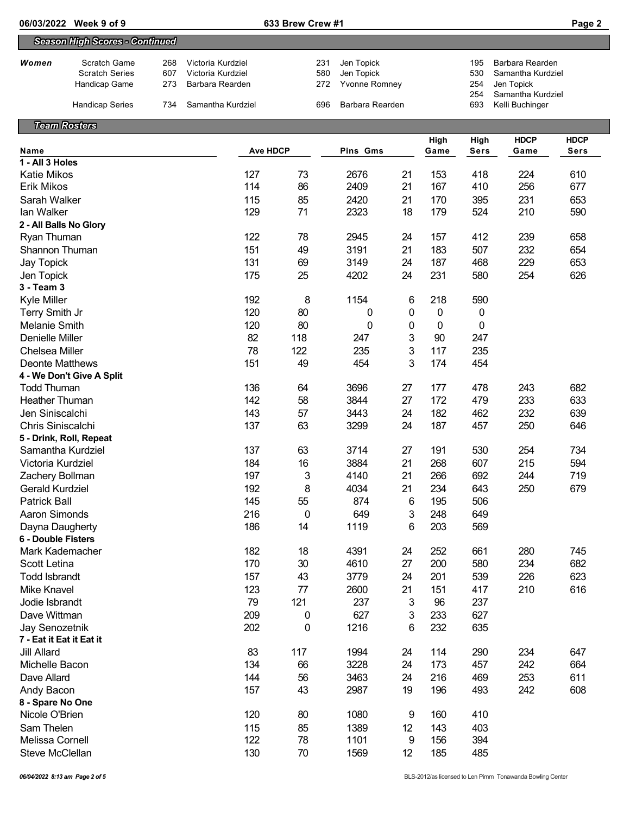| 06/03/2022 | Week 9 of 9 |
|------------|-------------|
|------------|-------------|

*Season High Scores - Continued*

**0633 Brew Crew #1 Page 2** 

Scratch Series 607 Victoria Kurdziel 580 Jen Topick 530 Samantha Kurdziel

*Women* Scratch Game 268 Victoria Kurdziel 231 Jen Topick 195 Barbara Rearden

| Handicap Game                          | 273 | Barbara Rearden<br>272 |                 |           | Yvonne Romney |                 |          | Jen Topick<br>254 |                                                    |                     |                            |  |  |
|----------------------------------------|-----|------------------------|-----------------|-----------|---------------|-----------------|----------|-------------------|----------------------------------------------------|---------------------|----------------------------|--|--|
| <b>Handicap Series</b>                 | 734 | Samantha Kurdziel      | 696             |           |               | Barbara Rearden |          |                   | 254<br>Samantha Kurdziel<br>693<br>Kelli Buchinger |                     |                            |  |  |
| <b>Team Rosters</b>                    |     |                        |                 |           |               |                 |          |                   |                                                    |                     |                            |  |  |
| Name                                   |     |                        | <b>Ave HDCP</b> |           |               | Pins Gms        |          | High<br>Game      | High<br><b>Sers</b>                                | <b>HDCP</b><br>Game | <b>HDCP</b><br><b>Sers</b> |  |  |
| 1 - All 3 Holes                        |     |                        |                 |           |               |                 |          |                   |                                                    |                     |                            |  |  |
| <b>Katie Mikos</b>                     |     |                        | 127             | 73        |               | 2676            | 21       | 153               | 418                                                | 224                 | 610                        |  |  |
| <b>Erik Mikos</b>                      |     |                        | 114             | 86        |               | 2409            | 21       | 167               | 410                                                | 256                 | 677                        |  |  |
| Sarah Walker                           |     |                        | 115             | 85        |               | 2420            | 21       | 170               | 395                                                | 231                 | 653                        |  |  |
| lan Walker                             |     |                        | 129             | 71        |               | 2323            | 18       | 179               | 524                                                | 210                 | 590                        |  |  |
| 2 - All Balls No Glory                 |     |                        |                 |           |               |                 |          |                   |                                                    |                     |                            |  |  |
| Ryan Thuman                            |     |                        | 122             | 78        |               | 2945            | 24       | 157               | 412                                                | 239                 | 658                        |  |  |
| Shannon Thuman                         |     |                        | 151             | 49        |               | 3191            | 21       | 183               | 507                                                | 232                 | 654                        |  |  |
| Jay Topick                             |     |                        | 131             | 69        |               | 3149            | 24       | 187               | 468                                                | 229                 | 653                        |  |  |
| Jen Topick                             |     |                        | 175             | 25        |               | 4202            | 24       | 231               | 580                                                | 254                 | 626                        |  |  |
| 3 - Team 3                             |     |                        |                 |           |               |                 |          |                   |                                                    |                     |                            |  |  |
| Kyle Miller                            |     |                        | 192             | 8         |               | 1154            | 6        | 218               | 590                                                |                     |                            |  |  |
| Terry Smith Jr                         |     |                        | 120             | 80        |               | 0               | 0        | 0                 | $\mathbf 0$                                        |                     |                            |  |  |
| Melanie Smith                          |     |                        | 120             | 80        |               | 0               | 0        | 0                 | 0                                                  |                     |                            |  |  |
| <b>Denielle Miller</b>                 |     |                        | 82              | 118       |               | 247             | 3        | 90                | 247                                                |                     |                            |  |  |
| <b>Chelsea Miller</b>                  |     |                        | 78              | 122       |               | 235             | 3        | 117               | 235                                                |                     |                            |  |  |
| <b>Deonte Matthews</b>                 |     |                        | 151             | 49        |               | 454             | 3        | 174               | 454                                                |                     |                            |  |  |
| 4 - We Don't Give A Split              |     |                        |                 |           |               |                 |          |                   |                                                    |                     |                            |  |  |
| <b>Todd Thuman</b>                     |     |                        | 136             | 64        |               | 3696            | 27       | 177               | 478                                                | 243                 | 682                        |  |  |
| <b>Heather Thuman</b>                  |     |                        | 142             | 58        |               | 3844            | 27       | 172               | 479                                                | 233                 | 633                        |  |  |
| Jen Siniscalchi                        |     |                        | 143             | 57        |               | 3443            | 24       | 182               | 462                                                | 232                 | 639                        |  |  |
| Chris Siniscalchi                      |     |                        | 137             | 63        |               | 3299            | 24       | 187               | 457                                                | 250                 | 646                        |  |  |
| 5 - Drink, Roll, Repeat                |     |                        |                 |           |               |                 |          |                   |                                                    |                     |                            |  |  |
| Samantha Kurdziel                      |     |                        | 137             | 63        |               | 3714            | 27       | 191               | 530                                                | 254                 | 734                        |  |  |
| Victoria Kurdziel                      |     |                        | 184             | 16        |               | 3884            | 21       | 268               | 607                                                | 215                 | 594                        |  |  |
| Zachery Bollman                        |     |                        | 197             | 3         |               | 4140            | 21       | 266               | 692                                                | 244                 | 719                        |  |  |
| <b>Gerald Kurdziel</b>                 |     |                        | 192             | 8         |               | 4034            | 21       | 234               | 643                                                | 250                 | 679                        |  |  |
| <b>Patrick Ball</b>                    |     |                        | 145             | 55        |               | 874             | 6        | 195               | 506                                                |                     |                            |  |  |
| Aaron Simonds                          |     |                        | 216             | 0         |               | 649             | 3        | 248               | 649                                                |                     |                            |  |  |
| Dayna Daugherty                        |     |                        | 186             | 14        |               | 1119            | 6        | 203               | 569                                                |                     |                            |  |  |
| 6 - Double Fisters                     |     |                        | 182             |           |               |                 |          |                   |                                                    |                     |                            |  |  |
| Mark Kademacher<br><b>Scott Letina</b> |     |                        | 170             | 18<br>30  |               | 4391<br>4610    | 24<br>27 | 252<br>200        | 661<br>580                                         | 280<br>234          | 745<br>682                 |  |  |
| <b>Todd Isbrandt</b>                   |     |                        | 157             | 43        |               | 3779            | 24       | 201               | 539                                                | 226                 | 623                        |  |  |
| <b>Mike Knavel</b>                     |     |                        | 123             |           |               | 2600            | 21       | 151               | 417                                                | 210                 | 616                        |  |  |
| Jodie Isbrandt                         |     |                        | 79              | 77<br>121 |               | 237             | 3        | 96                | 237                                                |                     |                            |  |  |
| Dave Wittman                           |     |                        | 209             |           |               | 627             | 3        | 233               | 627                                                |                     |                            |  |  |
| Jay Senozetnik                         |     |                        | 202             | 0<br>0    |               | 1216            | 6        | 232               | 635                                                |                     |                            |  |  |
| 7 - Eat it Eat it Eat it               |     |                        |                 |           |               |                 |          |                   |                                                    |                     |                            |  |  |
| <b>Jill Allard</b>                     |     |                        | 83              | 117       |               | 1994            | 24       | 114               | 290                                                | 234                 | 647                        |  |  |
| Michelle Bacon                         |     |                        | 134             | 66        |               | 3228            | 24       | 173               | 457                                                | 242                 | 664                        |  |  |
| Dave Allard                            |     |                        | 144             | 56        |               | 3463            | 24       | 216               | 469                                                | 253                 | 611                        |  |  |
| Andy Bacon                             |     |                        | 157             | 43        |               | 2987            | 19       | 196               | 493                                                | 242                 | 608                        |  |  |
| 8 - Spare No One                       |     |                        |                 |           |               |                 |          |                   |                                                    |                     |                            |  |  |
| Nicole O'Brien                         |     |                        | 120             | 80        |               | 1080            | 9        | 160               | 410                                                |                     |                            |  |  |
| Sam Thelen                             |     |                        | 115             | 85        |               | 1389            | 12       | 143               | 403                                                |                     |                            |  |  |
| Melissa Cornell                        |     |                        | 122             | 78        |               | 1101            | 9        | 156               | 394                                                |                     |                            |  |  |
| <b>Steve McClellan</b>                 |     |                        | 130             | 70        |               | 1569            | 12       | 185               | 485                                                |                     |                            |  |  |
|                                        |     |                        |                 |           |               |                 |          |                   |                                                    |                     |                            |  |  |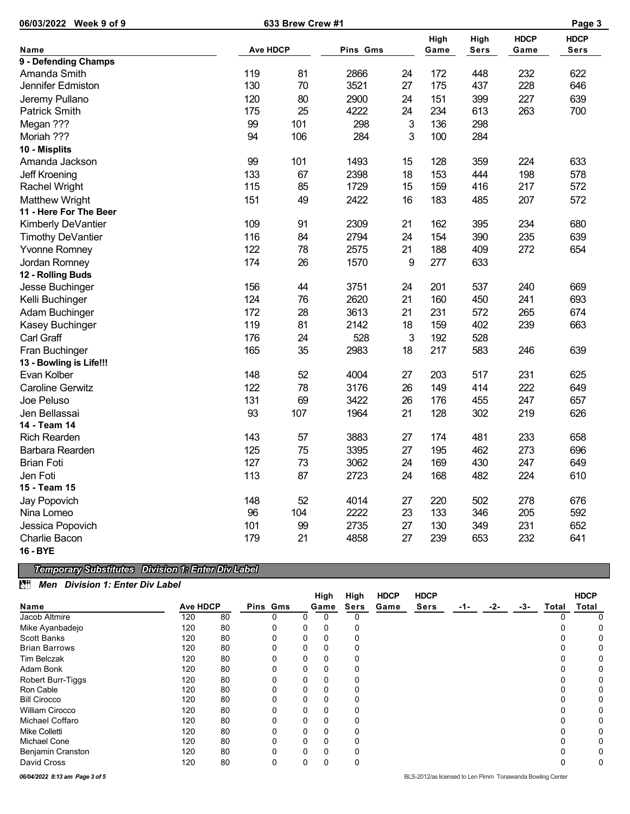| 06/03/2022<br>Week 9 of 9 |                 | 633 Brew Crew #1 |          |                |              |                     | Page 3              |                            |  |
|---------------------------|-----------------|------------------|----------|----------------|--------------|---------------------|---------------------|----------------------------|--|
| Name                      | <b>Ave HDCP</b> |                  | Pins Gms |                | High<br>Game | High<br><b>Sers</b> | <b>HDCP</b><br>Game | <b>HDCP</b><br><b>Sers</b> |  |
| 9 - Defending Champs      |                 |                  |          |                |              |                     |                     |                            |  |
| Amanda Smith              | 119             | 81               | 2866     | 24             | 172          | 448                 | 232                 | 622                        |  |
| Jennifer Edmiston         | 130             | 70               | 3521     | 27             | 175          | 437                 | 228                 | 646                        |  |
| Jeremy Pullano            | 120             | 80               | 2900     | 24             | 151          | 399                 | 227                 | 639                        |  |
| <b>Patrick Smith</b>      | 175             | 25               | 4222     | 24             | 234          | 613                 | 263                 | 700                        |  |
| Megan ???                 | 99              | 101              | 298      | $\mathsf 3$    | 136          | 298                 |                     |                            |  |
| Moriah ???                | 94              | 106              | 284      | 3              | 100          | 284                 |                     |                            |  |
| 10 - Misplits             |                 |                  |          |                |              |                     |                     |                            |  |
| Amanda Jackson            | 99              | 101              | 1493     | 15             | 128          | 359                 | 224                 | 633                        |  |
| Jeff Kroening             | 133             | 67               | 2398     | 18             | 153          | 444                 | 198                 | 578                        |  |
| <b>Rachel Wright</b>      | 115             | 85               | 1729     | 15             | 159          | 416                 | 217                 | 572                        |  |
| <b>Matthew Wright</b>     | 151             | 49               | 2422     | 16             | 183          | 485                 | 207                 | 572                        |  |
| 11 - Here For The Beer    |                 |                  |          |                |              |                     |                     |                            |  |
| Kimberly DeVantier        | 109             | 91               | 2309     | 21             | 162          | 395                 | 234                 | 680                        |  |
| <b>Timothy DeVantier</b>  | 116             | 84               | 2794     | 24             | 154          | 390                 | 235                 | 639                        |  |
| <b>Yvonne Romney</b>      | 122             | 78               | 2575     | 21             | 188          | 409                 | 272                 | 654                        |  |
| Jordan Romney             | 174             | 26               | 1570     | 9              | 277          | 633                 |                     |                            |  |
| 12 - Rolling Buds         |                 |                  |          |                |              |                     |                     |                            |  |
| Jesse Buchinger           | 156             | 44               | 3751     | 24             | 201          | 537                 | 240                 | 669                        |  |
| Kelli Buchinger           | 124             | 76               | 2620     | 21             | 160          | 450                 | 241                 | 693                        |  |
| Adam Buchinger            | 172             | 28               | 3613     | 21             | 231          | 572                 | 265                 | 674                        |  |
| Kasey Buchinger           | 119             | 81               | 2142     | 18             | 159          | 402                 | 239                 | 663                        |  |
| Carl Graff                | 176             | 24               | 528      | $\mathfrak{3}$ | 192          | 528                 |                     |                            |  |
| Fran Buchinger            | 165             | 35               | 2983     | 18             | 217          | 583                 | 246                 | 639                        |  |
| 13 - Bowling is Life!!!   |                 |                  |          |                |              |                     |                     |                            |  |
| Evan Kolber               | 148             | 52               | 4004     | 27             | 203          | 517                 | 231                 | 625                        |  |
| <b>Caroline Gerwitz</b>   | 122             | 78               | 3176     | 26             | 149          | 414                 | 222                 | 649                        |  |
| Joe Peluso                | 131             | 69               | 3422     | 26             | 176          | 455                 | 247                 | 657                        |  |
| Jen Bellassai             | 93              | 107              | 1964     | 21             | 128          | 302                 | 219                 | 626                        |  |
| 14 - Team 14              |                 |                  |          |                |              |                     |                     |                            |  |
| <b>Rich Rearden</b>       | 143             | 57               | 3883     | 27             | 174          | 481                 | 233                 | 658                        |  |
| Barbara Rearden           | 125             | 75               | 3395     | 27             | 195          | 462                 | 273                 | 696                        |  |
| <b>Brian Foti</b>         | 127             | 73               | 3062     | 24             | 169          | 430                 | 247                 | 649                        |  |
| Jen Foti                  | 113             | 87               | 2723     | 24             | 168          | 482                 | 224                 | 610                        |  |
| 15 - Team 15              |                 |                  |          |                |              |                     |                     |                            |  |
| Jay Popovich              | 148             | 52               | 4014     | 27             | 220          | 502                 | 278                 | 676                        |  |
| Nina Lomeo                | 96              | 104              | 2222     | 23             | 133          | 346                 | 205                 | 592                        |  |
| Jessica Popovich          | 101             | 99               | 2735     | 27             | 130          | 349                 | 231                 | 652                        |  |
| Charlie Bacon             | 179             | 21               | 4858     | 27             | 239          | 653                 | 232                 | 641                        |  |
| 16 - BYE                  |                 |                  |          |                |              |                     |                     |                            |  |

### *Temporary Substitutes Division 1: Enter Div Label*

#### *Men Division 1: Enter Div Label*

|                                |                 |    |          |   | High     | High | <b>HDCP</b> | <b>HDCP</b>                                               |     |     |     |       | <b>HDCP</b> |
|--------------------------------|-----------------|----|----------|---|----------|------|-------------|-----------------------------------------------------------|-----|-----|-----|-------|-------------|
| Name                           | <b>Ave HDCP</b> |    | Pins Gms |   | Game     | Sers | Game        | <b>Sers</b>                                               | -1- | -2- | -3- | Total | Total       |
| Jacob Altmire                  | 120             | 80 | 0        | 0 | 0        | 0    |             |                                                           |     |     |     |       |             |
| Mike Ayanbadejo                | 120             | 80 |          | 0 | 0        | 0    |             |                                                           |     |     |     |       |             |
| Scott Banks                    | 120             | 80 |          | 0 | 0        |      |             |                                                           |     |     |     |       |             |
| <b>Brian Barrows</b>           | 120             | 80 |          | 0 | 0        |      |             |                                                           |     |     |     |       |             |
| <b>Tim Belczak</b>             | 120             | 80 | 0        | 0 | 0        |      |             |                                                           |     |     |     |       |             |
| Adam Bonk                      | 120             | 80 | 0        | 0 | 0        |      |             |                                                           |     |     |     |       |             |
| Robert Burr-Tiggs              | 120             | 80 |          | 0 | 0        |      |             |                                                           |     |     |     |       | 0           |
| Ron Cable                      | 120             | 80 |          | 0 | 0        |      |             |                                                           |     |     |     |       | 0           |
| <b>Bill Cirocco</b>            | 120             | 80 |          | 0 | $\Omega$ |      |             |                                                           |     |     |     |       | 0           |
| William Cirocco                | 120             | 80 |          | 0 | 0        |      |             |                                                           |     |     |     |       |             |
| Michael Coffaro                | 120             | 80 | 0        | 0 | 0        |      |             |                                                           |     |     |     |       |             |
| Mike Colletti                  | 120             | 80 |          | 0 | 0        |      |             |                                                           |     |     |     |       |             |
| <b>Michael Cone</b>            | 120             | 80 |          | 0 | 0        |      |             |                                                           |     |     |     |       |             |
| Benjamin Cranston              | 120             | 80 | 0        | 0 | 0        |      |             |                                                           |     |     |     |       | 0           |
| David Cross                    | 120             | 80 | 0        | 0 | 0        | 0    |             |                                                           |     |     |     |       | 0           |
| 06/04/2022 8:13 am Page 3 of 5 |                 |    |          |   |          |      |             | BLS-2012/as licensed to Len Pimm Tonawanda Bowling Center |     |     |     |       |             |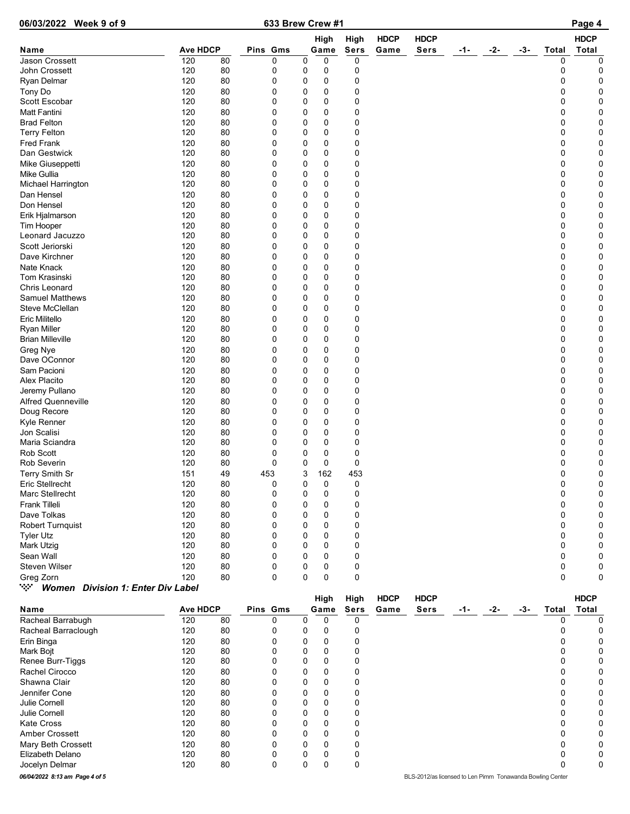| 06/03/2022 Week 9 of 9                             |                 |    |          |   | Page 4      |             |             |             |     |       |     |              |              |
|----------------------------------------------------|-----------------|----|----------|---|-------------|-------------|-------------|-------------|-----|-------|-----|--------------|--------------|
|                                                    |                 |    |          |   | High        | High        | <b>HDCP</b> | <b>HDCP</b> |     |       |     |              | <b>HDCP</b>  |
| Name                                               | <b>Ave HDCP</b> |    | Pins Gms |   | Game        | <b>Sers</b> | Game        | Sers        | -1- | $-2-$ | -3- | <b>Total</b> | <b>Total</b> |
| Jason Crossett                                     | 120             | 80 | 0        | 0 | 0           | 0           |             |             |     |       |     | 0            | 0            |
| John Crossett                                      | 120             | 80 | 0        | 0 | 0           | 0           |             |             |     |       |     | 0            | 0            |
| Ryan Delmar                                        | 120             | 80 | 0        | 0 | 0           | 0           |             |             |     |       |     | 0            | 0            |
| Tony Do                                            | 120             | 80 | 0        | 0 | 0           | 0           |             |             |     |       |     | 0            | 0            |
| Scott Escobar                                      | 120             | 80 | 0        | 0 | 0           | 0           |             |             |     |       |     | 0            | 0            |
| Matt Fantini                                       | 120             | 80 | 0        | 0 | 0           | 0           |             |             |     |       |     | 0            | 0            |
| <b>Brad Felton</b>                                 | 120             | 80 | 0        | 0 | 0           | 0           |             |             |     |       |     | 0            | 0            |
| <b>Terry Felton</b>                                | 120             | 80 | 0        | 0 | 0           | 0           |             |             |     |       |     | 0            | 0            |
| Fred Frank                                         | 120             | 80 | 0        | 0 | 0           | 0           |             |             |     |       |     | 0            | 0            |
| Dan Gestwick                                       | 120             | 80 | 0        | 0 | 0           | 0           |             |             |     |       |     | 0            | 0            |
| Mike Giuseppetti                                   | 120             | 80 | 0        | 0 | $\mathbf 0$ | 0           |             |             |     |       |     | 0            | 0            |
| Mike Gullia                                        | 120             | 80 | 0        | 0 | 0           | 0           |             |             |     |       |     | 0            | 0            |
| Michael Harrington                                 | 120             | 80 | 0        | 0 | 0           | 0           |             |             |     |       |     | 0            | 0            |
| Dan Hensel                                         | 120             | 80 | 0        | 0 | $\mathbf 0$ | 0           |             |             |     |       |     | 0            | 0            |
| Don Hensel                                         | 120             | 80 | 0        | 0 | 0           | 0           |             |             |     |       |     | 0            | 0            |
| Erik Hjalmarson                                    | 120             | 80 | 0        | 0 | 0           | 0           |             |             |     |       |     | 0            | 0            |
| Tim Hooper                                         | 120             | 80 | 0        | 0 | $\mathbf 0$ | 0           |             |             |     |       |     | 0            | 0            |
| Leonard Jacuzzo                                    | 120             | 80 | 0        | 0 | 0           | 0           |             |             |     |       |     | 0            | 0            |
| Scott Jeriorski                                    | 120             | 80 | 0        | 0 | 0           | 0           |             |             |     |       |     | 0            | 0            |
| Dave Kirchner                                      | 120             | 80 | 0        | 0 | $\mathbf 0$ | 0           |             |             |     |       |     | 0            | 0            |
| Nate Knack                                         | 120             | 80 | 0        | 0 | 0           | 0           |             |             |     |       |     | 0            | 0            |
| Tom Krasinski                                      | 120             | 80 | 0        | 0 | 0           | 0           |             |             |     |       |     | 0            | 0            |
| Chris Leonard                                      | 120             | 80 | 0        | 0 | $\mathbf 0$ | 0           |             |             |     |       |     | 0            | 0            |
| <b>Samuel Matthews</b>                             | 120             | 80 | 0        | 0 | 0           | 0           |             |             |     |       |     | 0            | 0            |
| Steve McClellan                                    | 120             | 80 | 0        | 0 | 0           | 0           |             |             |     |       |     | 0            | 0            |
| Eric Militello                                     | 120             | 80 | 0        | 0 | $\mathbf 0$ | 0           |             |             |     |       |     | 0            | 0            |
| <b>Ryan Miller</b>                                 | 120             | 80 | 0        | 0 | 0           | 0           |             |             |     |       |     | 0            | 0            |
| <b>Brian Milleville</b>                            | 120             | 80 | 0        | 0 | 0           | 0           |             |             |     |       |     | 0            | 0            |
| Greg Nye                                           | 120             | 80 | 0        | 0 | $\mathbf 0$ | 0           |             |             |     |       |     | 0            | 0            |
| Dave OConnor                                       | 120             | 80 | 0        | 0 | 0           | 0           |             |             |     |       |     | 0            | 0            |
| Sam Pacioni                                        | 120             | 80 | 0        | 0 | $\mathbf 0$ | 0           |             |             |     |       |     | 0            | 0            |
| Alex Placito                                       | 120             | 80 | 0        | 0 | 0           | 0           |             |             |     |       |     | 0            | 0            |
| Jeremy Pullano                                     | 120             | 80 | 0        | 0 | 0           | 0           |             |             |     |       |     | 0            | 0            |
| <b>Alfred Quenneville</b>                          | 120             | 80 | 0        | 0 | $\mathbf 0$ | 0           |             |             |     |       |     | 0            | 0            |
| Doug Recore                                        | 120             | 80 | 0        | 0 | $\mathbf 0$ | 0           |             |             |     |       |     | 0            | 0            |
| Kyle Renner                                        | 120             | 80 | 0        | 0 | 0           | 0           |             |             |     |       |     | 0            | 0            |
| Jon Scalisi                                        | 120             | 80 | 0        | 0 | $\mathbf 0$ | 0           |             |             |     |       |     | 0            | 0            |
| Maria Sciandra                                     | 120             | 80 | 0        | 0 | 0           | 0           |             |             |     |       |     | 0            | 0            |
| Rob Scott                                          | 120             | 80 | 0        | 0 | 0           | 0           |             |             |     |       |     | 0            | 0            |
| <b>Rob Severin</b>                                 | 120             | 80 | 0        | 0 | 0           | 0           |             |             |     |       |     | 0            | 0            |
| Terry Smith Sr                                     | 151             | 49 | 453      | 3 | 162         | 453         |             |             |     |       |     | 0            | U            |
| Eric Stellrecht                                    | 120             | 80 | 0        | 0 | 0           | 0           |             |             |     |       |     | 0            | 0            |
| Marc Stellrecht                                    | 120             | 80 | 0        | 0 | 0           | 0           |             |             |     |       |     | 0            | 0            |
| Frank Tilleli                                      | 120             | 80 | 0        | 0 | 0           | 0           |             |             |     |       |     | 0            | 0            |
|                                                    |                 |    | 0        |   | 0           | 0           |             |             |     |       |     | 0            | 0            |
| Dave Tolkas                                        | 120             | 80 |          | 0 |             |             |             |             |     |       |     |              |              |
| Robert Turnquist                                   | 120             | 80 | 0        | 0 | 0           | 0           |             |             |     |       |     | 0            | 0            |
| Tyler Utz                                          | 120             | 80 | 0        | 0 | 0<br>0      | 0           |             |             |     |       |     | 0<br>0       | 0            |
| Mark Utzig                                         | 120             | 80 | 0        | 0 |             | 0           |             |             |     |       |     |              | 0            |
| Sean Wall                                          | 120             | 80 | 0        | 0 | 0           | 0           |             |             |     |       |     | 0            | 0            |
| Steven Wilser                                      | 120             | 80 | 0        | 0 | 0           | 0           |             |             |     |       |     | 0            | 0            |
| Greg Zorn                                          | 120             | 80 | 0        | 0 | 0           | 0           |             |             |     |       |     | 0            | 0            |
| ngan p<br><b>Women</b> Division 1: Enter Div Label |                 |    |          |   |             |             |             |             |     |       |     |              |              |

|                                |                 |    |          |   | High | High     | <b>HDCP</b> | <b>HDCP</b>                                               |     |     |     |       | <b>HDCP</b> |
|--------------------------------|-----------------|----|----------|---|------|----------|-------------|-----------------------------------------------------------|-----|-----|-----|-------|-------------|
| Name                           | <b>Ave HDCP</b> |    | Pins Gms |   | Game | Sers     | Game        | <b>Sers</b>                                               | -1- | -2- | -3- | Total | Total       |
| Racheal Barrabugh              | 120             | 80 | 0        |   |      | 0        |             |                                                           |     |     |     |       |             |
| Racheal Barraclough            | 120             | 80 | 0        | 0 | 0    | 0        |             |                                                           |     |     |     |       |             |
| Erin Binga                     | 120             | 80 | 0        | 0 | 0    | 0        |             |                                                           |     |     |     |       |             |
| Mark Boit                      | 120             | 80 | 0        | 0 |      | 0        |             |                                                           |     |     |     |       |             |
| Renee Burr-Tiggs               | 120             | 80 | 0        | 0 |      | 0        |             |                                                           |     |     |     |       |             |
| Rachel Cirocco                 | 120             | 80 | 0        | 0 | 0    | 0        |             |                                                           |     |     |     |       |             |
| Shawna Clair                   | 120             | 80 | 0        | 0 | U    | 0        |             |                                                           |     |     |     |       |             |
| Jennifer Cone                  | 120             | 80 | 0        | 0 | 0    | 0        |             |                                                           |     |     |     |       |             |
| Julie Cornell                  | 120             | 80 | 0        | 0 |      |          |             |                                                           |     |     |     |       |             |
| Julie Cornell                  | 120             | 80 | 0        | 0 |      |          |             |                                                           |     |     |     |       |             |
| <b>Kate Cross</b>              | 120             | 80 | 0        | 0 |      | 0        |             |                                                           |     |     |     |       |             |
| Amber Crossett                 | 120             | 80 | 0        | 0 | 0    | 0        |             |                                                           |     |     |     |       |             |
| Mary Beth Crossett             | 120             | 80 | 0        | 0 | 0    | 0        |             |                                                           |     |     |     |       |             |
| Elizabeth Delano               | 120             | 80 | 0        | 0 | 0    | 0        |             |                                                           |     |     |     |       |             |
| Jocelyn Delmar                 | 120             | 80 | 0        | 0 | 0    | $\Omega$ |             |                                                           |     |     |     | 0     |             |
| 06/04/2022 8:13 am Page 4 of 5 |                 |    |          |   |      |          |             | BLS-2012/as licensed to Len Pimm Tonawanda Bowling Center |     |     |     |       |             |